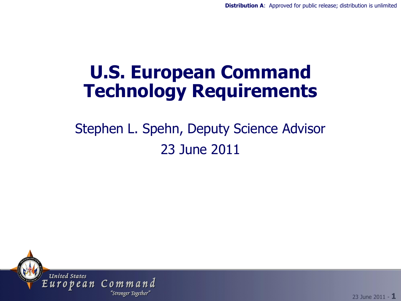#### **U.S. European Command Technology Requirements**

#### Stephen L. Spehn, Deputy Science Advisor 23 June 2011



23 June 2011 - **1**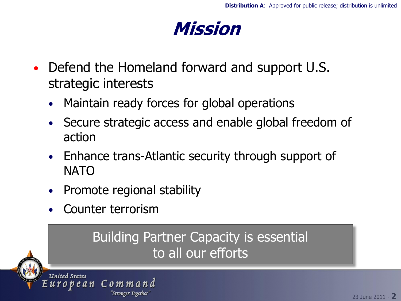

- Defend the Homeland forward and support U.S. strategic interests
	- Maintain ready forces for global operations
	- Secure strategic access and enable global freedom of action
	- Enhance trans-Atlantic security through support of NATO
	- Promote regional stability

"Stronger Together'

• Counter terrorism

uropean Command

#### Building Partner Capacity is essential to all our efforts



**United States**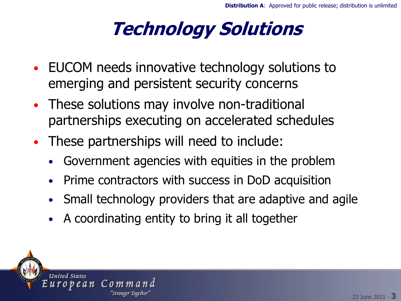# **Technology Solutions**

- EUCOM needs innovative technology solutions to emerging and persistent security concerns
- These solutions may involve non-traditional partnerships executing on accelerated schedules
- These partnerships will need to include:
	- Government agencies with equities in the problem
	- Prime contractors with success in DoD acquisition
	- Small technology providers that are adaptive and agile
	- A coordinating entity to bring it all together

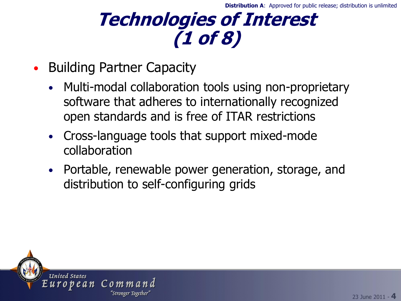#### **Technologies of Interest (1 of 8)**

- Building Partner Capacity
	- Multi-modal collaboration tools using non-proprietary software that adheres to internationally recognized open standards and is free of ITAR restrictions
	- Cross-language tools that support mixed-mode collaboration
	- Portable, renewable power generation, storage, and distribution to self-configuring grids

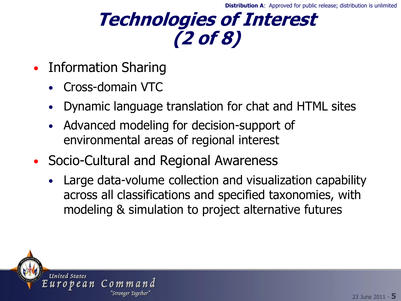#### **Technologies of Interest (2 of 8)**

- Information Sharing
	- Cross-domain VTC
	- Dynamic language translation for chat and HTML sites
	- Advanced modeling for decision-support of environmental areas of regional interest
- Socio-Cultural and Regional Awareness
	- Large data-volume collection and visualization capability across all classifications and specified taxonomies, with modeling & simulation to project alternative futures

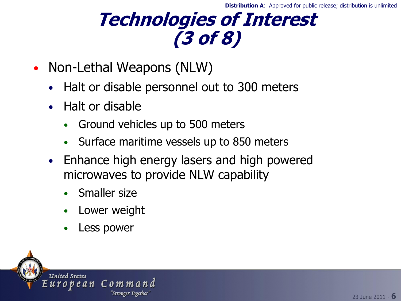#### **Technologies of Interest (3 of 8)**

- Non-Lethal Weapons (NLW)
	- Halt or disable personnel out to 300 meters
	- Halt or disable
		- Ground vehicles up to 500 meters
		- Surface maritime vessels up to 850 meters
	- Enhance high energy lasers and high powered microwaves to provide NLW capability
		- Smaller size
		- Lower weight
		- Less power

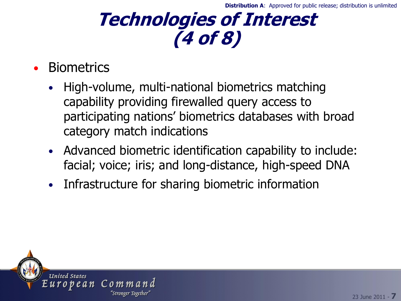## **Technologies of Interest (4 of 8)**

- **Biometrics** 
	- High-volume, multi-national biometrics matching capability providing firewalled query access to participating nations' biometrics databases with broad category match indications
	- Advanced biometric identification capability to include: facial; voice; iris; and long-distance, high-speed DNA
	- Infrastructure for sharing biometric information

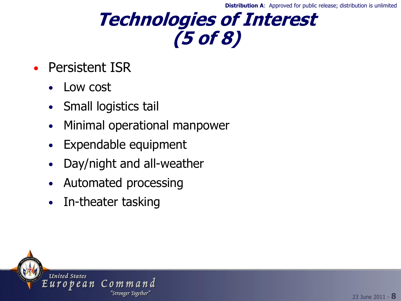**Distribution A:** Approved for public release; distribution is unlimited

#### **Technologies of Interest (5 of 8)**

- Persistent ISR
	- Low cost
	- Small logistics tail
	- Minimal operational manpower
	- Expendable equipment
	- Day/night and all-weather
	- Automated processing
	- In-theater tasking

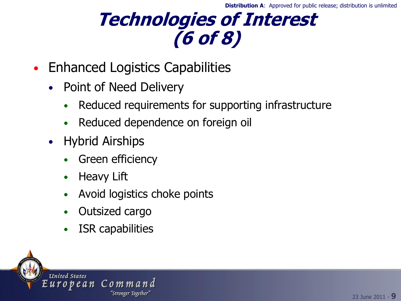## **Technologies of Interest (6 of 8)**

- Enhanced Logistics Capabilities
	- Point of Need Delivery
		- Reduced requirements for supporting infrastructure
		- Reduced dependence on foreign oil
	- Hybrid Airships
		- **Green efficiency**
		- **Heavy Lift**
		- Avoid logistics choke points
		- Outsized cargo
		- ISR capabilities

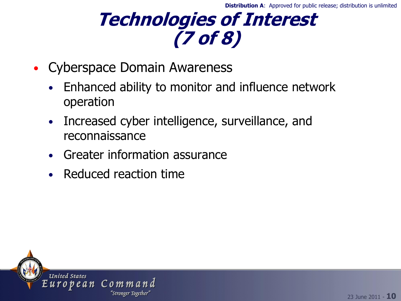## **Technologies of Interest (7 of 8)**

- Cyberspace Domain Awareness
	- Enhanced ability to monitor and influence network operation
	- Increased cyber intelligence, surveillance, and reconnaissance
	- Greater information assurance
	- Reduced reaction time

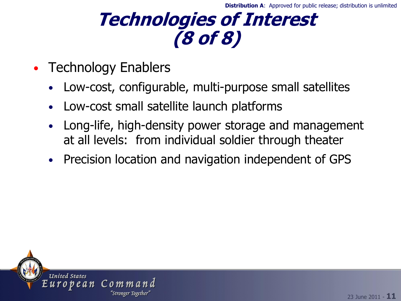#### **Technologies of Interest (8 of 8)**

- Technology Enablers
	- Low-cost, configurable, multi-purpose small satellites
	- Low-cost small satellite launch platforms
	- Long-life, high-density power storage and management at all levels: from individual soldier through theater
	- Precision location and navigation independent of GPS